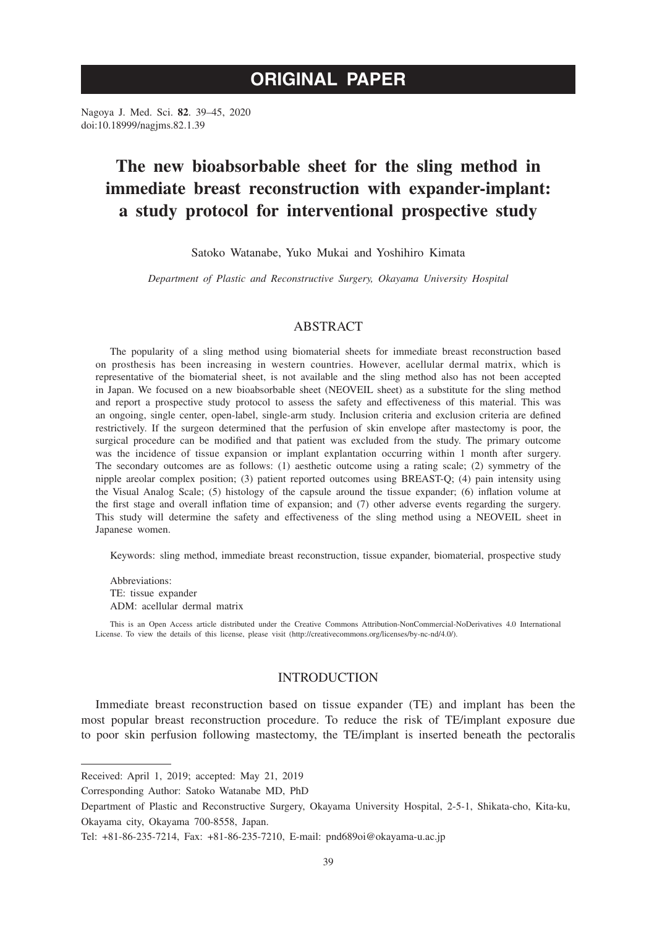# **ORIGINAL PAPER**

Nagoya J. Med. Sci. **82**. 39–45, 2020 doi:10.18999/nagjms.82.1.39

# **The new bioabsorbable sheet for the sling method in immediate breast reconstruction with expander-implant: a study protocol for interventional prospective study**

Satoko Watanabe, Yuko Mukai and Yoshihiro Kimata

*Department of Plastic and Reconstructive Surgery, Okayama University Hospital*

# ABSTRACT

The popularity of a sling method using biomaterial sheets for immediate breast reconstruction based on prosthesis has been increasing in western countries. However, acellular dermal matrix, which is representative of the biomaterial sheet, is not available and the sling method also has not been accepted in Japan. We focused on a new bioabsorbable sheet (NEOVEIL sheet) as a substitute for the sling method and report a prospective study protocol to assess the safety and effectiveness of this material. This was an ongoing, single center, open-label, single-arm study. Inclusion criteria and exclusion criteria are defined restrictively. If the surgeon determined that the perfusion of skin envelope after mastectomy is poor, the surgical procedure can be modified and that patient was excluded from the study. The primary outcome was the incidence of tissue expansion or implant explantation occurring within 1 month after surgery. The secondary outcomes are as follows: (1) aesthetic outcome using a rating scale; (2) symmetry of the nipple areolar complex position; (3) patient reported outcomes using BREAST-Q; (4) pain intensity using the Visual Analog Scale; (5) histology of the capsule around the tissue expander; (6) inflation volume at the first stage and overall inflation time of expansion; and (7) other adverse events regarding the surgery. This study will determine the safety and effectiveness of the sling method using a NEOVEIL sheet in Japanese women.

Keywords: sling method, immediate breast reconstruction, tissue expander, biomaterial, prospective study

Abbreviations: TE: tissue expander ADM: acellular dermal matrix

This is an Open Access article distributed under the Creative Commons Attribution-NonCommercial-NoDerivatives 4.0 International License. To view the details of this license, please visit (http://creativecommons.org/licenses/by-nc-nd/4.0/).

# INTRODUCTION

Immediate breast reconstruction based on tissue expander (TE) and implant has been the most popular breast reconstruction procedure. To reduce the risk of TE/implant exposure due to poor skin perfusion following mastectomy, the TE/implant is inserted beneath the pectoralis

Received: April 1, 2019; accepted: May 21, 2019

Corresponding Author: Satoko Watanabe MD, PhD

Department of Plastic and Reconstructive Surgery, Okayama University Hospital, 2-5-1, Shikata-cho, Kita-ku, Okayama city, Okayama 700-8558, Japan.

Tel: +81-86-235-7214, Fax: +81-86-235-7210, E-mail: pnd689oi@okayama-u.ac.jp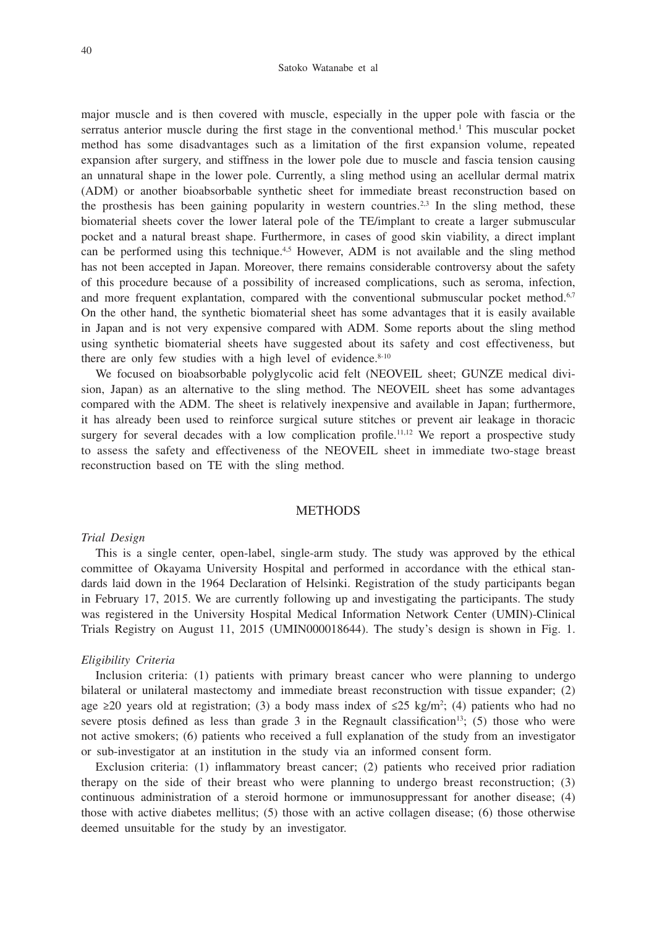#### Satoko Watanabe et al

major muscle and is then covered with muscle, especially in the upper pole with fascia or the serratus anterior muscle during the first stage in the conventional method.<sup>1</sup> This muscular pocket method has some disadvantages such as a limitation of the first expansion volume, repeated expansion after surgery, and stiffness in the lower pole due to muscle and fascia tension causing an unnatural shape in the lower pole. Currently, a sling method using an acellular dermal matrix (ADM) or another bioabsorbable synthetic sheet for immediate breast reconstruction based on the prosthesis has been gaining popularity in western countries.<sup>2,3</sup> In the sling method, these biomaterial sheets cover the lower lateral pole of the TE/implant to create a larger submuscular pocket and a natural breast shape. Furthermore, in cases of good skin viability, a direct implant can be performed using this technique.<sup>4,5</sup> However, ADM is not available and the sling method has not been accepted in Japan. Moreover, there remains considerable controversy about the safety of this procedure because of a possibility of increased complications, such as seroma, infection, and more frequent explantation, compared with the conventional submuscular pocket method.<sup>6,7</sup> On the other hand, the synthetic biomaterial sheet has some advantages that it is easily available in Japan and is not very expensive compared with ADM. Some reports about the sling method using synthetic biomaterial sheets have suggested about its safety and cost effectiveness, but there are only few studies with a high level of evidence.<sup>8-10</sup>

We focused on bioabsorbable polyglycolic acid felt (NEOVEIL sheet; GUNZE medical division, Japan) as an alternative to the sling method. The NEOVEIL sheet has some advantages compared with the ADM. The sheet is relatively inexpensive and available in Japan; furthermore, it has already been used to reinforce surgical suture stitches or prevent air leakage in thoracic surgery for several decades with a low complication profile.<sup>11,12</sup> We report a prospective study to assess the safety and effectiveness of the NEOVEIL sheet in immediate two-stage breast reconstruction based on TE with the sling method.

# **METHODS**

#### *Trial Design*

This is a single center, open-label, single-arm study. The study was approved by the ethical committee of Okayama University Hospital and performed in accordance with the ethical standards laid down in the 1964 Declaration of Helsinki. Registration of the study participants began in February 17, 2015. We are currently following up and investigating the participants. The study was registered in the University Hospital Medical Information Network Center (UMIN)-Clinical Trials Registry on August 11, 2015 (UMIN000018644). The study's design is shown in Fig. 1.

#### *Eligibility Criteria*

Inclusion criteria: (1) patients with primary breast cancer who were planning to undergo bilateral or unilateral mastectomy and immediate breast reconstruction with tissue expander; (2) age ≥20 years old at registration; (3) a body mass index of  $\leq 25$  kg/m<sup>2</sup>; (4) patients who had no severe ptosis defined as less than grade 3 in the Regnault classification<sup>13</sup>; (5) those who were not active smokers; (6) patients who received a full explanation of the study from an investigator or sub-investigator at an institution in the study via an informed consent form.

Exclusion criteria: (1) inflammatory breast cancer; (2) patients who received prior radiation therapy on the side of their breast who were planning to undergo breast reconstruction; (3) continuous administration of a steroid hormone or immunosuppressant for another disease; (4) those with active diabetes mellitus; (5) those with an active collagen disease; (6) those otherwise deemed unsuitable for the study by an investigator.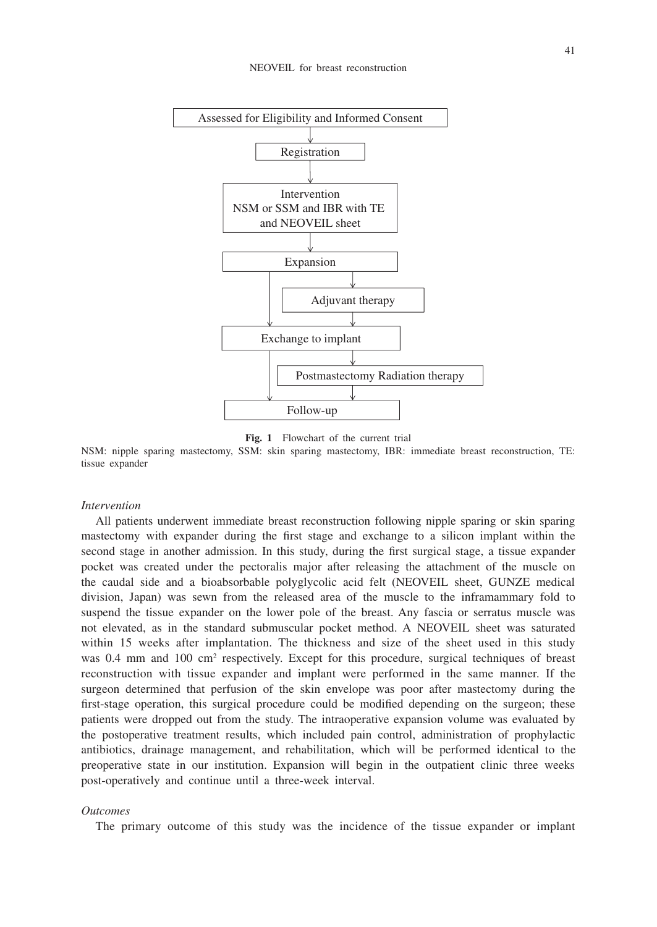



NSM: nipple sparing mastectomy, SSM: skin sparing mastectomy, IBR: immediate breast reconstruction, TE: tissue expander

## *Intervention*

All patients underwent immediate breast reconstruction following nipple sparing or skin sparing mastectomy with expander during the first stage and exchange to a silicon implant within the second stage in another admission. In this study, during the first surgical stage, a tissue expander pocket was created under the pectoralis major after releasing the attachment of the muscle on the caudal side and a bioabsorbable polyglycolic acid felt (NEOVEIL sheet, GUNZE medical division, Japan) was sewn from the released area of the muscle to the inframammary fold to suspend the tissue expander on the lower pole of the breast. Any fascia or serratus muscle was not elevated, as in the standard submuscular pocket method. A NEOVEIL sheet was saturated within 15 weeks after implantation. The thickness and size of the sheet used in this study was 0.4 mm and 100 cm<sup>2</sup> respectively. Except for this procedure, surgical techniques of breast reconstruction with tissue expander and implant were performed in the same manner. If the surgeon determined that perfusion of the skin envelope was poor after mastectomy during the first-stage operation, this surgical procedure could be modified depending on the surgeon; these patients were dropped out from the study. The intraoperative expansion volume was evaluated by the postoperative treatment results, which included pain control, administration of prophylactic antibiotics, drainage management, and rehabilitation, which will be performed identical to the preoperative state in our institution. Expansion will begin in the outpatient clinic three weeks post-operatively and continue until a three-week interval.

#### *Outcomes*

The primary outcome of this study was the incidence of the tissue expander or implant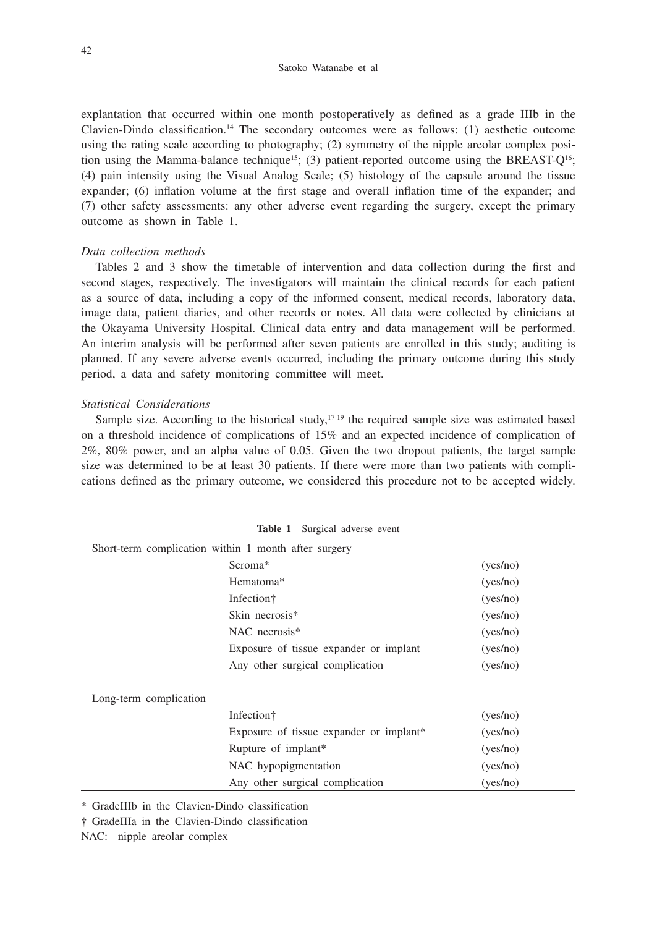explantation that occurred within one month postoperatively as defined as a grade IIIb in the Clavien-Dindo classification.14 The secondary outcomes were as follows: (1) aesthetic outcome using the rating scale according to photography; (2) symmetry of the nipple areolar complex position using the Mamma-balance technique<sup>15</sup>; (3) patient-reported outcome using the BREAST- $Q^{16}$ ; (4) pain intensity using the Visual Analog Scale; (5) histology of the capsule around the tissue expander; (6) inflation volume at the first stage and overall inflation time of the expander; and (7) other safety assessments: any other adverse event regarding the surgery, except the primary outcome as shown in Table 1.

## *Data collection methods*

Tables 2 and 3 show the timetable of intervention and data collection during the first and second stages, respectively. The investigators will maintain the clinical records for each patient as a source of data, including a copy of the informed consent, medical records, laboratory data, image data, patient diaries, and other records or notes. All data were collected by clinicians at the Okayama University Hospital. Clinical data entry and data management will be performed. An interim analysis will be performed after seven patients are enrolled in this study; auditing is planned. If any severe adverse events occurred, including the primary outcome during this study period, a data and safety monitoring committee will meet.

# *Statistical Considerations*

Sample size. According to the historical study, $17-19$  the required sample size was estimated based on a threshold incidence of complications of 15% and an expected incidence of complication of 2%, 80% power, and an alpha value of 0.05. Given the two dropout patients, the target sample size was determined to be at least 30 patients. If there were more than two patients with complications defined as the primary outcome, we considered this procedure not to be accepted widely.

| <b>Table 1</b> Surgical adverse event                |                                         |          |  |  |  |  |  |
|------------------------------------------------------|-----------------------------------------|----------|--|--|--|--|--|
| Short-term complication within 1 month after surgery |                                         |          |  |  |  |  |  |
|                                                      | Seroma*                                 | (yes/no) |  |  |  |  |  |
|                                                      | Hematoma*                               | (yes/no) |  |  |  |  |  |
|                                                      | Infection <sup>†</sup>                  | (yes/no) |  |  |  |  |  |
|                                                      | Skin necrosis*                          | (yes/no) |  |  |  |  |  |
|                                                      | NAC necrosis*                           | (yes/no) |  |  |  |  |  |
|                                                      | Exposure of tissue expander or implant  | (yes/no) |  |  |  |  |  |
|                                                      | Any other surgical complication         | (yes/no) |  |  |  |  |  |
| Long-term complication                               |                                         |          |  |  |  |  |  |
|                                                      | Infection <sup>†</sup>                  | (yes/no) |  |  |  |  |  |
|                                                      | Exposure of tissue expander or implant* | (yes/no) |  |  |  |  |  |
|                                                      | Rupture of implant*                     | (yes/no) |  |  |  |  |  |
|                                                      | NAC hypopigmentation                    | (yes/no) |  |  |  |  |  |
|                                                      | Any other surgical complication         | (yes/no) |  |  |  |  |  |
|                                                      |                                         |          |  |  |  |  |  |

**Table 1** Surgical adverse event

\* GradeIIIb in the Clavien-Dindo classification

† GradeIIIa in the Clavien-Dindo classification

NAC: nipple areolar complex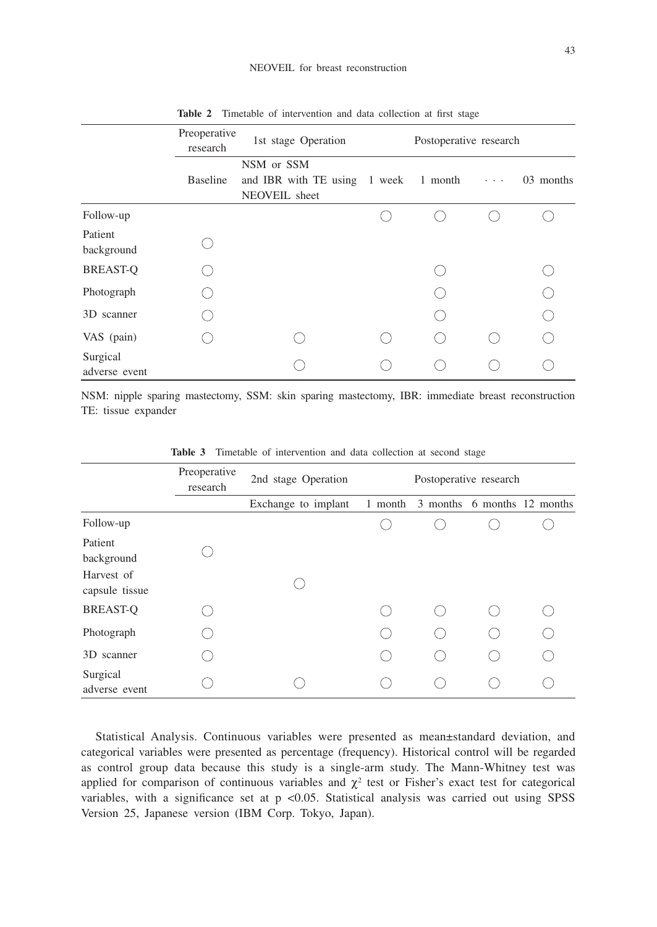|                           | Preoperative<br>research | 1st stage Operation                                                 | Postoperative research |  |                                      |           |  |
|---------------------------|--------------------------|---------------------------------------------------------------------|------------------------|--|--------------------------------------|-----------|--|
|                           | <b>Baseline</b>          | NSM or SSM<br>and IBR with TE using 1 week 1 month<br>NEOVEIL sheet |                        |  | $\mathbf{z}=\mathbf{z}=\mathbf{z}$ . | 03 months |  |
| Follow-up                 |                          |                                                                     |                        |  |                                      |           |  |
| Patient<br>background     |                          |                                                                     |                        |  |                                      |           |  |
| <b>BREAST-Q</b>           |                          |                                                                     |                        |  |                                      |           |  |
| Photograph                |                          |                                                                     |                        |  |                                      | ∩         |  |
| 3D scanner                |                          |                                                                     |                        |  |                                      |           |  |
| VAS (pain)                |                          |                                                                     |                        |  |                                      |           |  |
| Surgical<br>adverse event |                          |                                                                     |                        |  |                                      |           |  |

**Table 2** Timetable of intervention and data collection at first stage

NSM: nipple sparing mastectomy, SSM: skin sparing mastectomy, IBR: immediate breast reconstruction TE: tissue expander

|                                                       | Preoperative<br>research | 2nd stage Operation |         | Postoperative research |  |                             |  |
|-------------------------------------------------------|--------------------------|---------------------|---------|------------------------|--|-----------------------------|--|
|                                                       |                          | Exchange to implant | 1 month |                        |  | 3 months 6 months 12 months |  |
| Follow-up                                             |                          |                     |         |                        |  |                             |  |
| Patient<br>background<br>Harvest of<br>capsule tissue |                          |                     |         |                        |  |                             |  |
| <b>BREAST-Q</b>                                       |                          |                     |         |                        |  |                             |  |
| Photograph                                            |                          |                     |         |                        |  |                             |  |
| 3D scanner                                            |                          |                     |         |                        |  |                             |  |
| Surgical<br>adverse event                             |                          |                     |         |                        |  |                             |  |

**Table 3** Timetable of intervention and data collection at second stage

Statistical Analysis. Continuous variables were presented as mean±standard deviation, and categorical variables were presented as percentage (frequency). Historical control will be regarded as control group data because this study is a single-arm study. The Mann-Whitney test was applied for comparison of continuous variables and  $\chi^2$  test or Fisher's exact test for categorical variables, with a significance set at  $p \le 0.05$ . Statistical analysis was carried out using SPSS Version 25, Japanese version (IBM Corp. Tokyo, Japan).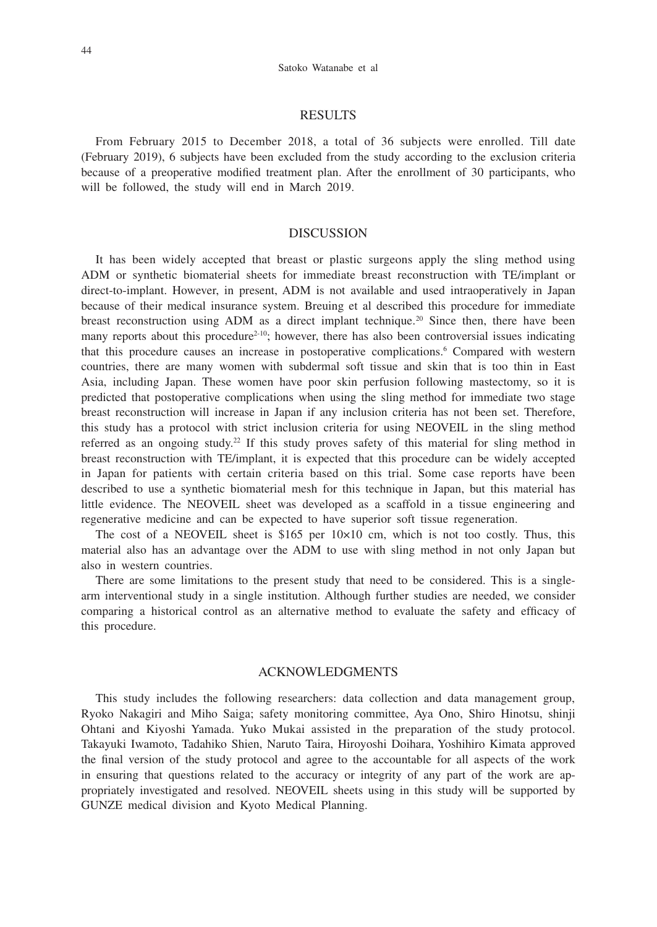### RESULTS

From February 2015 to December 2018, a total of 36 subjects were enrolled. Till date (February 2019), 6 subjects have been excluded from the study according to the exclusion criteria because of a preoperative modified treatment plan. After the enrollment of 30 participants, who will be followed, the study will end in March 2019.

# DISCUSSION

It has been widely accepted that breast or plastic surgeons apply the sling method using ADM or synthetic biomaterial sheets for immediate breast reconstruction with TE/implant or direct-to-implant. However, in present, ADM is not available and used intraoperatively in Japan because of their medical insurance system. Breuing et al described this procedure for immediate breast reconstruction using ADM as a direct implant technique.<sup>20</sup> Since then, there have been many reports about this procedure<sup>2-10</sup>; however, there has also been controversial issues indicating that this procedure causes an increase in postoperative complications.<sup>6</sup> Compared with western countries, there are many women with subdermal soft tissue and skin that is too thin in East Asia, including Japan. These women have poor skin perfusion following mastectomy, so it is predicted that postoperative complications when using the sling method for immediate two stage breast reconstruction will increase in Japan if any inclusion criteria has not been set. Therefore, this study has a protocol with strict inclusion criteria for using NEOVEIL in the sling method referred as an ongoing study.<sup>22</sup> If this study proves safety of this material for sling method in breast reconstruction with TE/implant, it is expected that this procedure can be widely accepted in Japan for patients with certain criteria based on this trial. Some case reports have been described to use a synthetic biomaterial mesh for this technique in Japan, but this material has little evidence. The NEOVEIL sheet was developed as a scaffold in a tissue engineering and regenerative medicine and can be expected to have superior soft tissue regeneration.

The cost of a NEOVEIL sheet is  $$165$  per  $10\times10$  cm, which is not too costly. Thus, this material also has an advantage over the ADM to use with sling method in not only Japan but also in western countries.

There are some limitations to the present study that need to be considered. This is a singlearm interventional study in a single institution. Although further studies are needed, we consider comparing a historical control as an alternative method to evaluate the safety and efficacy of this procedure.

## ACKNOWLEDGMENTS

This study includes the following researchers: data collection and data management group, Ryoko Nakagiri and Miho Saiga; safety monitoring committee, Aya Ono, Shiro Hinotsu, shinji Ohtani and Kiyoshi Yamada. Yuko Mukai assisted in the preparation of the study protocol. Takayuki Iwamoto, Tadahiko Shien, Naruto Taira, Hiroyoshi Doihara, Yoshihiro Kimata approved the final version of the study protocol and agree to the accountable for all aspects of the work in ensuring that questions related to the accuracy or integrity of any part of the work are appropriately investigated and resolved. NEOVEIL sheets using in this study will be supported by GUNZE medical division and Kyoto Medical Planning.